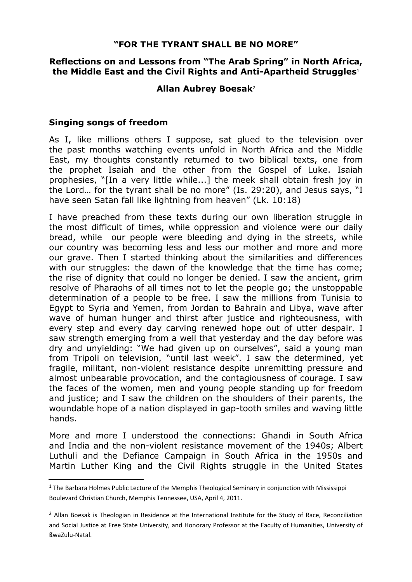# **"FOR THE TYRANT SHALL BE NO MORE"**

# **Reflections on and Lessons from "The Arab Spring" in North Africa, the Middle East and the Civil Rights and Anti-Apartheid Struggles**<sup>1</sup>

# **Allan Aubrey Boesak**<sup>2</sup>

#### **Singing songs of freedom**

As I, like millions others I suppose, sat glued to the television over the past months watching events unfold in North Africa and the Middle East, my thoughts constantly returned to two biblical texts, one from the prophet Isaiah and the other from the Gospel of Luke. Isaiah prophesies, "[In a very little while...] the meek shall obtain fresh joy in the Lord… for the tyrant shall be no more" (Is. 29:20), and Jesus says, "I have seen Satan fall like lightning from heaven" (Lk. 10:18)

I have preached from these texts during our own liberation struggle in the most difficult of times, while oppression and violence were our daily bread, while our people were bleeding and dying in the streets, while our country was becoming less and less our mother and more and more our grave. Then I started thinking about the similarities and differences with our struggles: the dawn of the knowledge that the time has come; the rise of dignity that could no longer be denied. I saw the ancient, grim resolve of Pharaohs of all times not to let the people go; the unstoppable determination of a people to be free. I saw the millions from Tunisia to Egypt to Syria and Yemen, from Jordan to Bahrain and Libya, wave after wave of human hunger and thirst after justice and righteousness, with every step and every day carving renewed hope out of utter despair. I saw strength emerging from a well that yesterday and the day before was dry and unyielding: "We had given up on ourselves", said a young man from Tripoli on television, "until last week". I saw the determined, yet fragile, militant, non-violent resistance despite unremitting pressure and almost unbearable provocation, and the contagiousness of courage. I saw the faces of the women, men and young people standing up for freedom and justice; and I saw the children on the shoulders of their parents, the woundable hope of a nation displayed in gap-tooth smiles and waving little hands.

More and more I understood the connections: Ghandi in South Africa and India and the non-violent resistance movement of the 1940s; Albert Luthuli and the Defiance Campaign in South Africa in the 1950s and Martin Luther King and the Civil Rights struggle in the United States

<sup>1</sup> The Barbara Holmes Public Lecture of the Memphis Theological Seminary in conjunction with Mississippi Boulevard Christian Church, Memphis Tennessee, USA, April 4, 2011.

<sup>&</sup>lt;sup>2</sup> Allan Boesak is Theologian in Residence at the International Institute for the Study of Race, Reconciliation and Social Justice at Free State University, and Honorary Professor at the Faculty of Humanities, University of K1waZulu-Natal.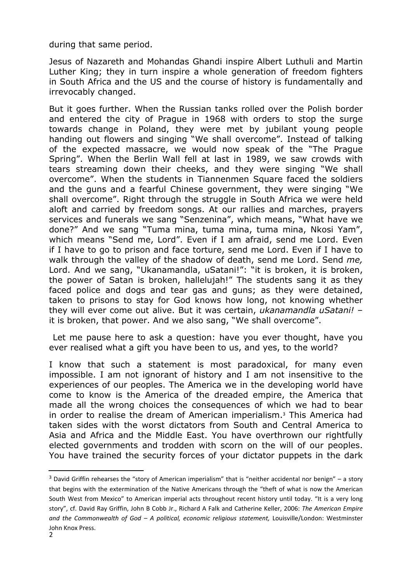during that same period.

Jesus of Nazareth and Mohandas Ghandi inspire Albert Luthuli and Martin Luther King; they in turn inspire a whole generation of freedom fighters in South Africa and the US and the course of history is fundamentally and irrevocably changed.

But it goes further. When the Russian tanks rolled over the Polish border and entered the city of Prague in 1968 with orders to stop the surge towards change in Poland, they were met by jubilant young people handing out flowers and singing "We shall overcome". Instead of talking of the expected massacre, we would now speak of the "The Prague Spring". When the Berlin Wall fell at last in 1989, we saw crowds with tears streaming down their cheeks, and they were singing "We shall overcome". When the students in Tiannenmen Square faced the soldiers and the guns and a fearful Chinese government, they were singing "We shall overcome". Right through the struggle in South Africa we were held aloft and carried by freedom songs. At our rallies and marches, prayers services and funerals we sang "Senzenina", which means, "What have we done?" And we sang "Tuma mina, tuma mina, tuma mina, Nkosi Yam", which means "Send me, Lord". Even if I am afraid, send me Lord. Even if I have to go to prison and face torture, send me Lord. Even if I have to walk through the valley of the shadow of death, send me Lord. Send *me,* Lord. And we sang, "Ukanamandla, uSatani!": "it is broken, it is broken, the power of Satan is broken, hallelujah!" The students sang it as they faced police and dogs and tear gas and guns; as they were detained, taken to prisons to stay for God knows how long, not knowing whether they will ever come out alive. But it was certain, *ukanamandla uSatani!* – it is broken, that power. And we also sang, "We shall overcome".

Let me pause here to ask a question: have you ever thought, have you ever realised what a gift you have been to us, and yes, to the world?

I know that such a statement is most paradoxical, for many even impossible. I am not ignorant of history and I am not insensitive to the experiences of our peoples. The America we in the developing world have come to know is the America of the dreaded empire, the America that made all the wrong choices the consequences of which we had to bear in order to realise the dream of American imperialism. <sup>3</sup> This America had taken sides with the worst dictators from South and Central America to Asia and Africa and the Middle East. You have overthrown our rightfully elected governments and trodden with scorn on the will of our peoples. You have trained the security forces of your dictator puppets in the dark

 $3$  David Griffin rehearses the "story of American imperialism" that is "neither accidental nor benign" – a story that begins with the extermination of the Native Americans through the "theft of what is now the American South West from Mexico" to American imperial acts throughout recent history until today. "It is a very long story", cf. David Ray Griffin, John B Cobb Jr., Richard A Falk and Catherine Keller, 2006: *The American Empire and the Commonwealth of God – A political, economic religious statement,* Louisville/London: Westminster John Knox Press.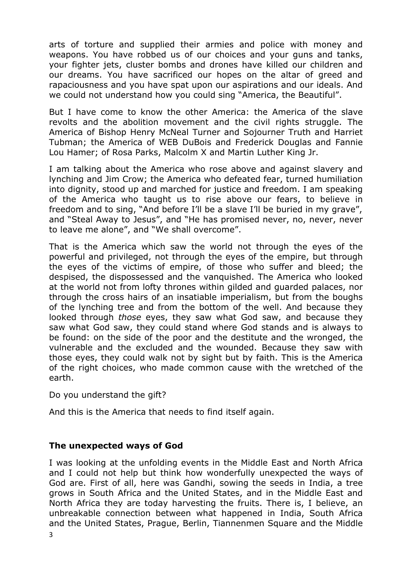arts of torture and supplied their armies and police with money and weapons. You have robbed us of our choices and your guns and tanks, your fighter jets, cluster bombs and drones have killed our children and our dreams. You have sacrificed our hopes on the altar of greed and rapaciousness and you have spat upon our aspirations and our ideals. And we could not understand how you could sing "America, the Beautiful".

But I have come to know the other America: the America of the slave revolts and the abolition movement and the civil rights struggle. The America of Bishop Henry McNeal Turner and Sojourner Truth and Harriet Tubman; the America of WEB DuBois and Frederick Douglas and Fannie Lou Hamer; of Rosa Parks, Malcolm X and Martin Luther King Jr.

I am talking about the America who rose above and against slavery and lynching and Jim Crow; the America who defeated fear, turned humiliation into dignity, stood up and marched for justice and freedom. I am speaking of the America who taught us to rise above our fears, to believe in freedom and to sing, "And before I'll be a slave I'll be buried in my grave", and "Steal Away to Jesus", and "He has promised never, no, never, never to leave me alone", and "We shall overcome".

That is the America which saw the world not through the eyes of the powerful and privileged, not through the eyes of the empire, but through the eyes of the victims of empire, of those who suffer and bleed; the despised, the dispossessed and the vanquished. The America who looked at the world not from lofty thrones within gilded and guarded palaces, nor through the cross hairs of an insatiable imperialism, but from the boughs of the lynching tree and from the bottom of the well. And because they looked through *those* eyes, they saw what God saw, and because they saw what God saw, they could stand where God stands and is always to be found: on the side of the poor and the destitute and the wronged, the vulnerable and the excluded and the wounded. Because they saw with those eyes, they could walk not by sight but by faith. This is the America of the right choices, who made common cause with the wretched of the earth.

Do you understand the gift?

And this is the America that needs to find itself again.

# **The unexpected ways of God**

I was looking at the unfolding events in the Middle East and North Africa and I could not help but think how wonderfully unexpected the ways of God are. First of all, here was Gandhi, sowing the seeds in India, a tree grows in South Africa and the United States, and in the Middle East and North Africa they are today harvesting the fruits. There is, I believe, an unbreakable connection between what happened in India, South Africa and the United States, Prague, Berlin, Tiannenmen Square and the Middle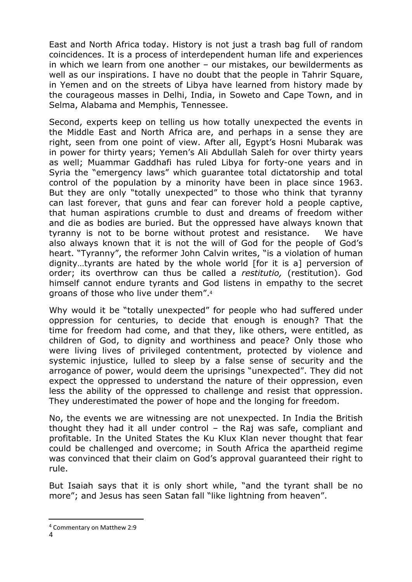East and North Africa today. History is not just a trash bag full of random coincidences. It is a process of interdependent human life and experiences in which we learn from one another – our mistakes, our bewilderments as well as our inspirations. I have no doubt that the people in Tahrir Square, in Yemen and on the streets of Libya have learned from history made by the courageous masses in Delhi, India, in Soweto and Cape Town, and in Selma, Alabama and Memphis, Tennessee.

Second, experts keep on telling us how totally unexpected the events in the Middle East and North Africa are, and perhaps in a sense they are right, seen from one point of view. After all, Egypt's Hosni Mubarak was in power for thirty years; Yemen's Ali Abdullah Saleh for over thirty years as well; Muammar Gaddhafi has ruled Libya for forty-one years and in Syria the "emergency laws" which guarantee total dictatorship and total control of the population by a minority have been in place since 1963. But they are only "totally unexpected" to those who think that tyranny can last forever, that guns and fear can forever hold a people captive, that human aspirations crumble to dust and dreams of freedom wither and die as bodies are buried. But the oppressed have always known that tyranny is not to be borne without protest and resistance. We have also always known that it is not the will of God for the people of God's heart. "Tyranny", the reformer John Calvin writes, "is a violation of human dignity…tyrants are hated by the whole world [for it is a] perversion of order; its overthrow can thus be called a *restitutio,* (restitution). God himself cannot endure tyrants and God listens in empathy to the secret groans of those who live under them". 4

Why would it be "totally unexpected" for people who had suffered under oppression for centuries, to decide that enough is enough? That the time for freedom had come, and that they, like others, were entitled, as children of God, to dignity and worthiness and peace? Only those who were living lives of privileged contentment, protected by violence and systemic injustice, lulled to sleep by a false sense of security and the arrogance of power, would deem the uprisings "unexpected". They did not expect the oppressed to understand the nature of their oppression, even less the ability of the oppressed to challenge and resist that oppression. They underestimated the power of hope and the longing for freedom.

No, the events we are witnessing are not unexpected. In India the British thought they had it all under control – the Raj was safe, compliant and profitable. In the United States the Ku Klux Klan never thought that fear could be challenged and overcome; in South Africa the apartheid regime was convinced that their claim on God's approval guaranteed their right to rule.

But Isaiah says that it is only short while, "and the tyrant shall be no more"; and Jesus has seen Satan fall "like lightning from heaven".

<sup>4</sup> Commentary on Matthew 2:9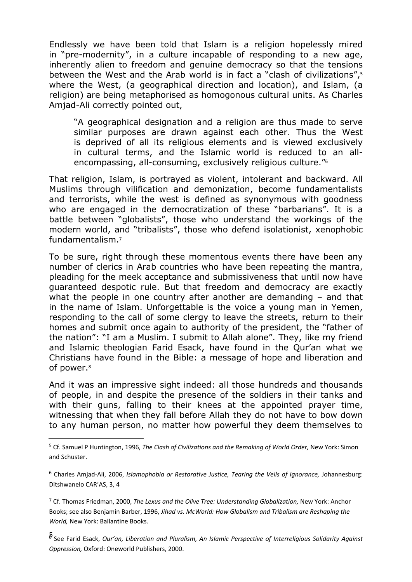Endlessly we have been told that Islam is a religion hopelessly mired in "pre-modernity", in a culture incapable of responding to a new age, inherently alien to freedom and genuine democracy so that the tensions between the West and the Arab world is in fact a "clash of civilizations", 5 where the West, (a geographical direction and location), and Islam, (a religion) are being metaphorised as homogonous cultural units. As Charles Amjad-Ali correctly pointed out,

"A geographical designation and a religion are thus made to serve similar purposes are drawn against each other. Thus the West is deprived of all its religious elements and is viewed exclusively in cultural terms, and the Islamic world is reduced to an allencompassing, all-consuming, exclusively religious culture." 6

That religion, Islam, is portrayed as violent, intolerant and backward. All Muslims through vilification and demonization, become fundamentalists and terrorists, while the west is defined as synonymous with goodness who are engaged in the democratization of these "barbarians". It is a battle between "globalists", those who understand the workings of the modern world, and "tribalists", those who defend isolationist, xenophobic fundamentalism. 7

To be sure, right through these momentous events there have been any number of clerics in Arab countries who have been repeating the mantra, pleading for the meek acceptance and submissiveness that until now have guaranteed despotic rule. But that freedom and democracy are exactly what the people in one country after another are demanding – and that in the name of Islam. Unforgettable is the voice a young man in Yemen, responding to the call of some clergy to leave the streets, return to their homes and submit once again to authority of the president, the "father of the nation": "I am a Muslim. I submit to Allah alone". They, like my friend and Islamic theologian Farid Esack, have found in the Qur'an what we Christians have found in the Bible: a message of hope and liberation and of power. 8

And it was an impressive sight indeed: all those hundreds and thousands of people, in and despite the presence of the soldiers in their tanks and with their guns, falling to their knees at the appointed prayer time, witnessing that when they fall before Allah they do not have to bow down to any human person, no matter how powerful they deem themselves to

<sup>7</sup> Cf. Thomas Friedman, 2000, *The Lexus and the Olive Tree: Understanding Globalization,* New York: Anchor Books; see also Benjamin Barber, 1996, *Jihad vs. McWorld: How Globalism and Tribalism are Reshaping the World,* New York: Ballantine Books.

<sup>8</sup> See Farid Esack, *Our'an, Liberation and Pluralism, An Islamic Perspective of Interreligious Solidarity Against* 5*Oppression,* Oxford: Oneworld Publishers, 2000.

<sup>5</sup> Cf. Samuel P Huntington, 1996, *The Clash of Civilizations and the Remaking of World Order,* New York: Simon and Schuster.

<sup>6</sup> Charles Amjad-Ali, 2006, *Islamophobia or Restorative Justice, Tearing the Veils of Ignorance,* Johannesburg: Ditshwanelo CAR'AS, 3, 4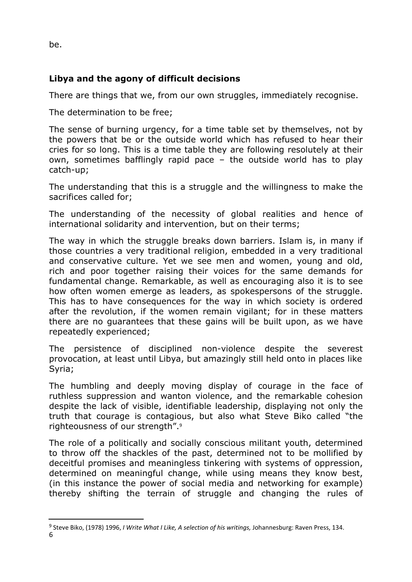# **Libya and the agony of difficult decisions**

There are things that we, from our own struggles, immediately recognise.

The determination to be free;

The sense of burning urgency, for a time table set by themselves, not by the powers that be or the outside world which has refused to hear their cries for so long. This is a time table they are following resolutely at their own, sometimes bafflingly rapid pace – the outside world has to play catch-up;

The understanding that this is a struggle and the willingness to make the sacrifices called for;

The understanding of the necessity of global realities and hence of international solidarity and intervention, but on their terms;

The way in which the struggle breaks down barriers. Islam is, in many if those countries a very traditional religion, embedded in a very traditional and conservative culture. Yet we see men and women, young and old, rich and poor together raising their voices for the same demands for fundamental change. Remarkable, as well as encouraging also it is to see how often women emerge as leaders, as spokespersons of the struggle. This has to have consequences for the way in which society is ordered after the revolution, if the women remain vigilant; for in these matters there are no guarantees that these gains will be built upon, as we have repeatedly experienced;

The persistence of disciplined non-violence despite the severest provocation, at least until Libya, but amazingly still held onto in places like Syria;

The humbling and deeply moving display of courage in the face of ruthless suppression and wanton violence, and the remarkable cohesion despite the lack of visible, identifiable leadership, displaying not only the truth that courage is contagious, but also what Steve Biko called "the righteousness of our strength". 9

The role of a politically and socially conscious militant youth, determined to throw off the shackles of the past, determined not to be mollified by deceitful promises and meaningless tinkering with systems of oppression, determined on meaningful change, while using means they know best, (in this instance the power of social media and networking for example) thereby shifting the terrain of struggle and changing the rules of

be.

<sup>9</sup> Steve Biko, (1978) 1996, *I Write What I Like, A selection of his writings,* Johannesburg: Raven Press, 134. 6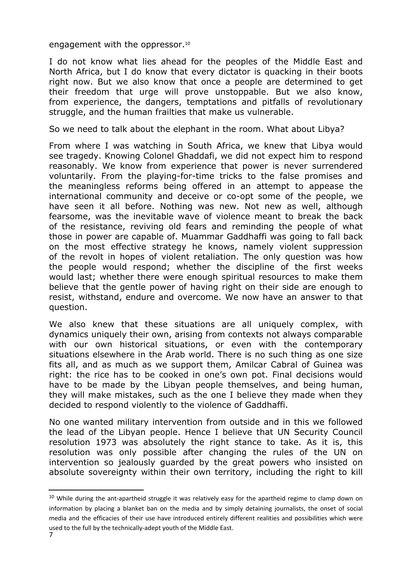engagement with the oppressor. 10

I do not know what lies ahead for the peoples of the Middle East and North Africa, but I do know that every dictator is quacking in their boots right now. But we also know that once a people are determined to get their freedom that urge will prove unstoppable. But we also know, from experience, the dangers, temptations and pitfalls of revolutionary struggle, and the human frailties that make us vulnerable.

So we need to talk about the elephant in the room. What about Libya?

From where I was watching in South Africa, we knew that Libya would see tragedy. Knowing Colonel Ghaddafi, we did not expect him to respond reasonably. We know from experience that power is never surrendered voluntarily. From the playing-for-time tricks to the false promises and the meaningless reforms being offered in an attempt to appease the international community and deceive or co-opt some of the people, we have seen it all before. Nothing was new. Not new as well, although fearsome, was the inevitable wave of violence meant to break the back of the resistance, reviving old fears and reminding the people of what those in power are capable of. Muammar Gaddhaffi was going to fall back on the most effective strategy he knows, namely violent suppression of the revolt in hopes of violent retaliation. The only question was how the people would respond; whether the discipline of the first weeks would last; whether there were enough spiritual resources to make them believe that the gentle power of having right on their side are enough to resist, withstand, endure and overcome. We now have an answer to that question.

We also knew that these situations are all uniquely complex, with dynamics uniquely their own, arising from contexts not always comparable with our own historical situations, or even with the contemporary situations elsewhere in the Arab world. There is no such thing as one size fits all, and as much as we support them, Amilcar Cabral of Guinea was right: the rice has to be cooked in one's own pot. Final decisions would have to be made by the Libyan people themselves, and being human, they will make mistakes, such as the one I believe they made when they decided to respond violently to the violence of Gaddhaffi.

No one wanted military intervention from outside and in this we followed the lead of the Libyan people. Hence I believe that UN Security Council resolution 1973 was absolutely the right stance to take. As it is, this resolution was only possible after changing the rules of the UN on intervention so jealously guarded by the great powers who insisted on absolute sovereignty within their own territory, including the right to kill

 $10$  While during the ant-apartheid struggle it was relatively easy for the apartheid regime to clamp down on information by placing a blanket ban on the media and by simply detaining journalists, the onset of social media and the efficacies of their use have introduced entirely different realities and possibilities which were used to the full by the technically-adept youth of the Middle East.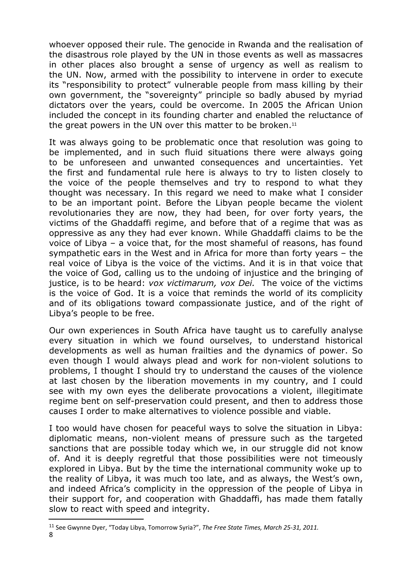whoever opposed their rule. The genocide in Rwanda and the realisation of the disastrous role played by the UN in those events as well as massacres in other places also brought a sense of urgency as well as realism to the UN. Now, armed with the possibility to intervene in order to execute its "responsibility to protect" vulnerable people from mass killing by their own government, the "sovereignty" principle so badly abused by myriad dictators over the years, could be overcome. In 2005 the African Union included the concept in its founding charter and enabled the reluctance of the great powers in the UN over this matter to be broken.<sup>11</sup>

It was always going to be problematic once that resolution was going to be implemented, and in such fluid situations there were always going to be unforeseen and unwanted consequences and uncertainties. Yet the first and fundamental rule here is always to try to listen closely to the voice of the people themselves and try to respond to what they thought was necessary. In this regard we need to make what I consider to be an important point. Before the Libyan people became the violent revolutionaries they are now, they had been, for over forty years, the victims of the Ghaddaffi regime, and before that of a regime that was as oppressive as any they had ever known. While Ghaddaffi claims to be the voice of Libya – a voice that, for the most shameful of reasons, has found sympathetic ears in the West and in Africa for more than forty years – the real voice of Libya is the voice of the victims. And it is in that voice that the voice of God, calling us to the undoing of injustice and the bringing of justice, is to be heard: *vox victimarum, vox Dei.* The voice of the victims is the voice of God. It is a voice that reminds the world of its complicity and of its obligations toward compassionate justice, and of the right of Libya's people to be free.

Our own experiences in South Africa have taught us to carefully analyse every situation in which we found ourselves, to understand historical developments as well as human frailties and the dynamics of power. So even though I would always plead and work for non-violent solutions to problems, I thought I should try to understand the causes of the violence at last chosen by the liberation movements in my country, and I could see with my own eyes the deliberate provocations a violent, illegitimate regime bent on self-preservation could present, and then to address those causes I order to make alternatives to violence possible and viable.

I too would have chosen for peaceful ways to solve the situation in Libya: diplomatic means, non-violent means of pressure such as the targeted sanctions that are possible today which we, in our struggle did not know of. And it is deeply regretful that those possibilities were not timeously explored in Libya. But by the time the international community woke up to the reality of Libya, it was much too late, and as always, the West's own, and indeed Africa's complicity in the oppression of the people of Libya in their support for, and cooperation with Ghaddaffi, has made them fatally slow to react with speed and integrity.

<sup>11</sup> See Gwynne Dyer, "Today Libya, Tomorrow Syria?", *The Free State Times, March 25-31, 2011.*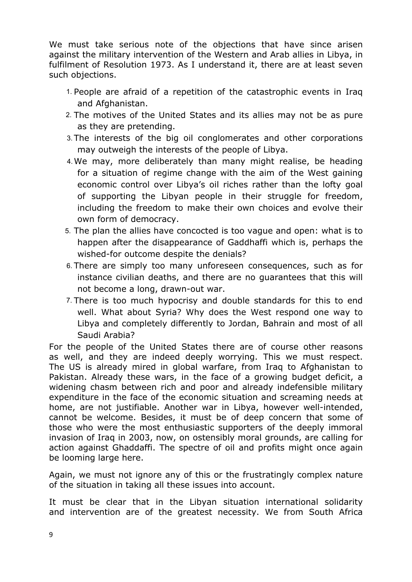We must take serious note of the objections that have since arisen against the military intervention of the Western and Arab allies in Libya, in fulfilment of Resolution 1973. As I understand it, there are at least seven such objections.

- 1. People are afraid of a repetition of the catastrophic events in Iraq and Afghanistan.
- 2. The motives of the United States and its allies may not be as pure as they are pretending.
- 3. The interests of the big oil conglomerates and other corporations may outweigh the interests of the people of Libya.
- 4.We may, more deliberately than many might realise, be heading for a situation of regime change with the aim of the West gaining economic control over Libya's oil riches rather than the lofty goal of supporting the Libyan people in their struggle for freedom, including the freedom to make their own choices and evolve their own form of democracy.
- 5. The plan the allies have concocted is too vague and open: what is to happen after the disappearance of Gaddhaffi which is, perhaps the wished-for outcome despite the denials?
- 6. There are simply too many unforeseen consequences, such as for instance civilian deaths, and there are no guarantees that this will not become a long, drawn-out war.
- 7. There is too much hypocrisy and double standards for this to end well. What about Syria? Why does the West respond one way to Libya and completely differently to Jordan, Bahrain and most of all Saudi Arabia?

For the people of the United States there are of course other reasons as well, and they are indeed deeply worrying. This we must respect. The US is already mired in global warfare, from Iraq to Afghanistan to Pakistan. Already these wars, in the face of a growing budget deficit, a widening chasm between rich and poor and already indefensible military expenditure in the face of the economic situation and screaming needs at home, are not justifiable. Another war in Libya, however well-intended, cannot be welcome. Besides, it must be of deep concern that some of those who were the most enthusiastic supporters of the deeply immoral invasion of Iraq in 2003, now, on ostensibly moral grounds, are calling for action against Ghaddaffi. The spectre of oil and profits might once again be looming large here.

Again, we must not ignore any of this or the frustratingly complex nature of the situation in taking all these issues into account.

It must be clear that in the Libyan situation international solidarity and intervention are of the greatest necessity. We from South Africa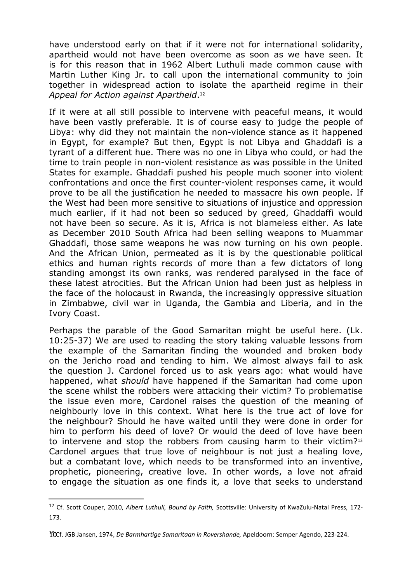have understood early on that if it were not for international solidarity, apartheid would not have been overcome as soon as we have seen. It is for this reason that in 1962 Albert Luthuli made common cause with Martin Luther King Jr. to call upon the international community to join together in widespread action to isolate the apartheid regime in their *Appeal for Action against Apartheid*. 12

If it were at all still possible to intervene with peaceful means, it would have been vastly preferable. It is of course easy to judge the people of Libya: why did they not maintain the non-violence stance as it happened in Egypt, for example? But then, Egypt is not Libya and Ghaddafi is a tyrant of a different hue. There was no one in Libya who could, or had the time to train people in non-violent resistance as was possible in the United States for example. Ghaddafi pushed his people much sooner into violent confrontations and once the first counter-violent responses came, it would prove to be all the justification he needed to massacre his own people. If the West had been more sensitive to situations of injustice and oppression much earlier, if it had not been so seduced by greed, Ghaddaffi would not have been so secure. As it is, Africa is not blameless either. As late as December 2010 South Africa had been selling weapons to Muammar Ghaddafi, those same weapons he was now turning on his own people. And the African Union, permeated as it is by the questionable political ethics and human rights records of more than a few dictators of long standing amongst its own ranks, was rendered paralysed in the face of these latest atrocities. But the African Union had been just as helpless in the face of the holocaust in Rwanda, the increasingly oppressive situation in Zimbabwe, civil war in Uganda, the Gambia and Liberia, and in the Ivory Coast.

Perhaps the parable of the Good Samaritan might be useful here. (Lk. 10:25-37) We are used to reading the story taking valuable lessons from the example of the Samaritan finding the wounded and broken body on the Jericho road and tending to him. We almost always fail to ask the question J. Cardonel forced us to ask years ago: what would have happened, what *should* have happened if the Samaritan had come upon the scene whilst the robbers were attacking their victim? To problematise the issue even more, Cardonel raises the question of the meaning of neighbourly love in this context. What here is the true act of love for the neighbour? Should he have waited until they were done in order for him to perform his deed of love? Or would the deed of love have been to intervene and stop the robbers from causing harm to their victim?<sup>13</sup> Cardonel argues that true love of neighbour is not just a healing love, but a combatant love, which needs to be transformed into an inventive, prophetic, pioneering, creative love. In other words, a love not afraid to engage the situation as one finds it, a love that seeks to understand

<sup>12</sup> Cf. Scott Couper, 2010, *Albert Luthuli, Bound by Faith,* Scottsville: University of KwaZulu-Natal Press, 172- 173.

<sup>13</sup>10Cf. JGB Jansen, 1974, *De Barmhartige Samaritaan in Rovershande,* Apeldoorn: Semper Agendo, 223-224.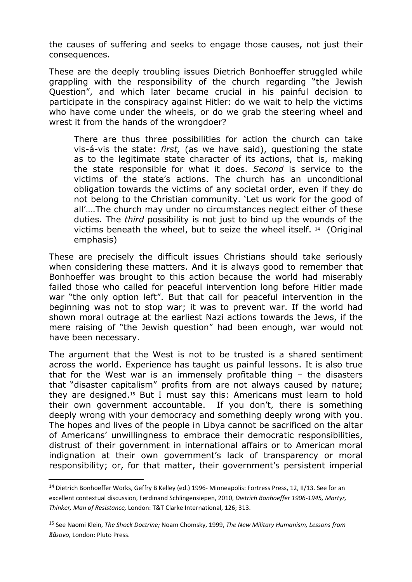the causes of suffering and seeks to engage those causes, not just their consequences.

These are the deeply troubling issues Dietrich Bonhoeffer struggled while grappling with the responsibility of the church regarding "the Jewish Question", and which later became crucial in his painful decision to participate in the conspiracy against Hitler: do we wait to help the victims who have come under the wheels, or do we grab the steering wheel and wrest it from the hands of the wrongdoer?

There are thus three possibilities for action the church can take vis-á-vis the state: *first,* (as we have said), questioning the state as to the legitimate state character of its actions, that is, making the state responsible for what it does. *Second* is service to the victims of the state's actions. The church has an unconditional obligation towards the victims of any societal order, even if they do not belong to the Christian community. 'Let us work for the good of all'….The church may under no circumstances neglect either of these duties. The *third* possibility is not just to bind up the wounds of the victims beneath the wheel, but to seize the wheel itself. <sup>14</sup> (Original emphasis)

These are precisely the difficult issues Christians should take seriously when considering these matters. And it is always good to remember that Bonhoeffer was brought to this action because the world had miserably failed those who called for peaceful intervention long before Hitler made war "the only option left". But that call for peaceful intervention in the beginning was not to stop war; it was to prevent war. If the world had shown moral outrage at the earliest Nazi actions towards the Jews, if the mere raising of "the Jewish question" had been enough, war would not have been necessary.

The argument that the West is not to be trusted is a shared sentiment across the world. Experience has taught us painful lessons. It is also true that for the West war is an immensely profitable thing – the disasters that "disaster capitalism" profits from are not always caused by nature; they are designed. <sup>15</sup> But I must say this: Americans must learn to hold their own government accountable. If you don't, there is something deeply wrong with your democracy and something deeply wrong with you. The hopes and lives of the people in Libya cannot be sacrificed on the altar of Americans' unwillingness to embrace their democratic responsibilities, distrust of their government in international affairs or to American moral indignation at their own government's lack of transparency or moral responsibility; or, for that matter, their government's persistent imperial

<sup>14</sup> Dietrich Bonhoeffer Works, Geffry B Kelley (ed.) 1996- Minneapolis: Fortress Press, 12, II/13. See for an excellent contextual discussion, Ferdinand Schlingensiepen, 2010, *Dietrich Bonhoeffer 1906-1945, Martyr, Thinker, Man of Resistance,* London: T&T Clarke International, 126; 313.

<sup>15</sup> See Naomi Klein, *The Shock Doctrine;* Noam Chomsky, 1999, *The New Military Humanism, Lessons from Kásovo, London: Pluto Press.*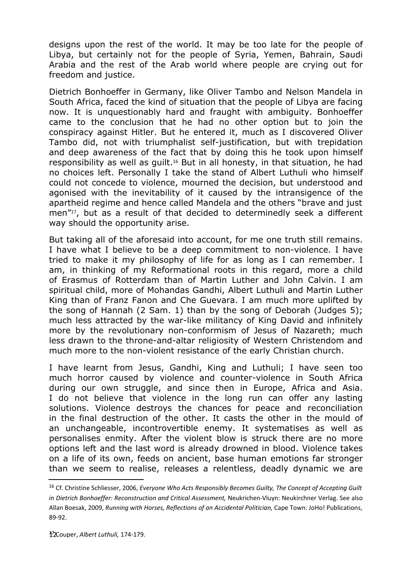designs upon the rest of the world. It may be too late for the people of Libya, but certainly not for the people of Syria, Yemen, Bahrain, Saudi Arabia and the rest of the Arab world where people are crying out for freedom and justice.

Dietrich Bonhoeffer in Germany, like Oliver Tambo and Nelson Mandela in South Africa, faced the kind of situation that the people of Libya are facing now. It is unquestionably hard and fraught with ambiguity. Bonhoeffer came to the conclusion that he had no other option but to join the conspiracy against Hitler. But he entered it, much as I discovered Oliver Tambo did, not with triumphalist self-justification, but with trepidation and deep awareness of the fact that by doing this he took upon himself responsibility as well as guilt.<sup>16</sup> But in all honesty, in that situation, he had no choices left. Personally I take the stand of Albert Luthuli who himself could not concede to violence, mourned the decision, but understood and agonised with the inevitability of it caused by the intransigence of the apartheid regime and hence called Mandela and the others "brave and just men" <sup>17</sup>, but as a result of that decided to determinedly seek a different way should the opportunity arise.

But taking all of the aforesaid into account, for me one truth still remains. I have what I believe to be a deep commitment to non-violence. I have tried to make it my philosophy of life for as long as I can remember. I am, in thinking of my Reformational roots in this regard, more a child of Erasmus of Rotterdam than of Martin Luther and John Calvin. I am spiritual child, more of Mohandas Gandhi, Albert Luthuli and Martin Luther King than of Franz Fanon and Che Guevara. I am much more uplifted by the song of Hannah (2 Sam. 1) than by the song of Deborah (Judges 5); much less attracted by the war-like militancy of King David and infinitely more by the revolutionary non-conformism of Jesus of Nazareth; much less drawn to the throne-and-altar religiosity of Western Christendom and much more to the non-violent resistance of the early Christian church.

I have learnt from Jesus, Gandhi, King and Luthuli; I have seen too much horror caused by violence and counter-violence in South Africa during our own struggle, and since then in Europe, Africa and Asia. I do not believe that violence in the long run can offer any lasting solutions. Violence destroys the chances for peace and reconciliation in the final destruction of the other. It casts the other in the mould of an unchangeable, incontrovertible enemy. It systematises as well as personalises enmity. After the violent blow is struck there are no more options left and the last word is already drowned in blood. Violence takes on a life of its own, feeds on ancient, base human emotions far stronger than we seem to realise, releases a relentless, deadly dynamic we are

<sup>16</sup> Cf. Christine Schliesser, 2006, *Everyone Who Acts Responsibly Becomes Guilty, The Concept of Accepting Guilt in Dietrich Bonhoeffer: Reconstruction and Critical Assessment,* Neukrichen-Vluyn: Neukirchner Verlag. See also Allan Boesak, 2009, *Running with Horses, Reflections of an Accidental Politician,* Cape Town: JoHo! Publications, 89-92.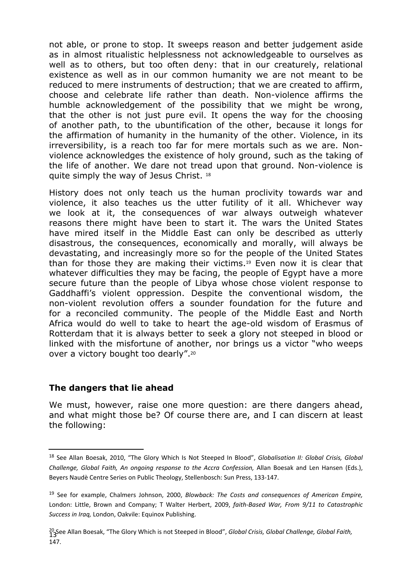not able, or prone to stop. It sweeps reason and better judgement aside as in almost ritualistic helplessness not acknowledgeable to ourselves as well as to others, but too often deny: that in our creaturely, relational existence as well as in our common humanity we are not meant to be reduced to mere instruments of destruction; that we are created to affirm, choose and celebrate life rather than death. Non-violence affirms the humble acknowledgement of the possibility that we might be wrong, that the other is not just pure evil. It opens the way for the choosing of another path, to the ubuntification of the other, because it longs for the affirmation of humanity in the humanity of the other. Violence, in its irreversibility, is a reach too far for mere mortals such as we are. Nonviolence acknowledges the existence of holy ground, such as the taking of the life of another. We dare not tread upon that ground. Non-violence is quite simply the way of Jesus Christ. 18

History does not only teach us the human proclivity towards war and violence, it also teaches us the utter futility of it all. Whichever way we look at it, the consequences of war always outweigh whatever reasons there might have been to start it. The wars the United States have mired itself in the Middle East can only be described as utterly disastrous, the consequences, economically and morally, will always be devastating, and increasingly more so for the people of the United States than for those they are making their victims. <sup>19</sup> Even now it is clear that whatever difficulties they may be facing, the people of Egypt have a more secure future than the people of Libya whose chose violent response to Gaddhaffi's violent oppression. Despite the conventional wisdom, the non-violent revolution offers a sounder foundation for the future and for a reconciled community. The people of the Middle East and North Africa would do well to take to heart the age-old wisdom of Erasmus of Rotterdam that it is always better to seek a glory not steeped in blood or linked with the misfortune of another, nor brings us a victor "who weeps over a victory bought too dearly". 20

# **The dangers that lie ahead**

We must, however, raise one more question: are there dangers ahead, and what might those be? Of course there are, and I can discern at least the following:

<sup>18</sup> See Allan Boesak, 2010, "The Glory Which Is Not Steeped In Blood", *Globalisation II: Global Crisis, Global Challenge, Global Faith, An ongoing response to the Accra Confession,* Allan Boesak and Len Hansen (Eds.), Beyers Naudè Centre Series on Public Theology, Stellenbosch: Sun Press, 133-147.

<sup>19</sup> See for example, Chalmers Johnson, 2000, *Blowback: The Costs and consequences of American Empire,* London: Little, Brown and Company; T Walter Herbert, 2009, *faith-Based War, From 9/11 to Catastrophic Success in Iraq,* London, Oakvile: Equinox Publishing.

<sup>20</sup> See Allan Boesak, "The Glory Which is not Steeped in Blood", *Global Crisis, Global Challenge, Global Faith,* 13147.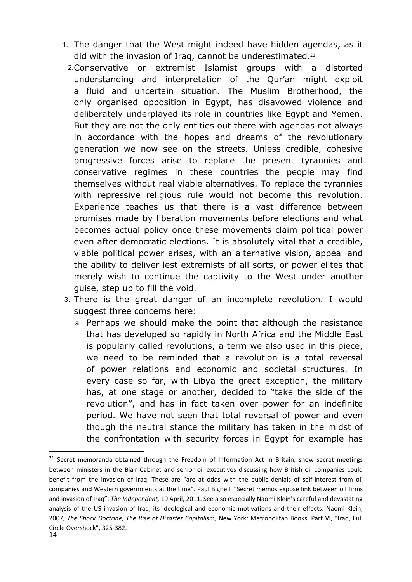- 1. The danger that the West might indeed have hidden agendas, as it did with the invasion of Iraq, cannot be underestimated. 21
	- 2.Conservative or extremist Islamist groups with a distorted understanding and interpretation of the Qur'an might exploit a fluid and uncertain situation. The Muslim Brotherhood, the only organised opposition in Egypt, has disavowed violence and deliberately underplayed its role in countries like Egypt and Yemen. But they are not the only entities out there with agendas not always in accordance with the hopes and dreams of the revolutionary generation we now see on the streets. Unless credible, cohesive progressive forces arise to replace the present tyrannies and conservative regimes in these countries the people may find themselves without real viable alternatives. To replace the tyrannies with repressive religious rule would not become this revolution. Experience teaches us that there is a vast difference between promises made by liberation movements before elections and what becomes actual policy once these movements claim political power even after democratic elections. It is absolutely vital that a credible, viable political power arises, with an alternative vision, appeal and the ability to deliver lest extremists of all sorts, or power elites that merely wish to continue the captivity to the West under another guise, step up to fill the void.
- 3. There is the great danger of an incomplete revolution. I would suggest three concerns here:
	- a. Perhaps we should make the point that although the resistance that has developed so rapidly in North Africa and the Middle East is popularly called revolutions, a term we also used in this piece, we need to be reminded that a revolution is a total reversal of power relations and economic and societal structures. In every case so far, with Libya the great exception, the military has, at one stage or another, decided to "take the side of the revolution", and has in fact taken over power for an indefinite period. We have not seen that total reversal of power and even though the neutral stance the military has taken in the midst of the confrontation with security forces in Egypt for example has

<sup>&</sup>lt;sup>21</sup> Secret memoranda obtained through the Freedom of Information Act in Britain, show secret meetings between ministers in the Blair Cabinet and senior oil executives discussing how British oil companies could benefit from the invasion of Iraq. These are "are at odds with the public denials of self-interest from oil companies and Western governments at the time". Paul Bignell, "Secret memos expose link between oil firms and invasion of Iraq", *The Independent,* 19 April, 2011. See also especially Naomi Klein's careful and devastating analysis of the US invasion of Iraq, its ideological and economic motivations and their effects: Naomi Klein, 2007, *The Shock Doctrine, The Rise of Disaster Capitalism,* New York: Metropolitan Books, Part VI, "Iraq, Full Circle Overshock", 325-382.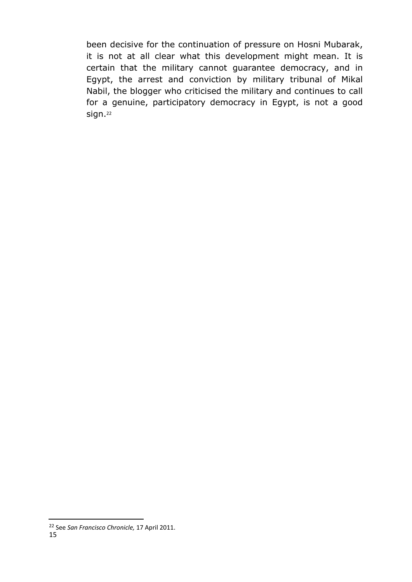been decisive for the continuation of pressure on Hosni Mubarak, it is not at all clear what this development might mean. It is certain that the military cannot guarantee democracy, and in Egypt, the arrest and conviction by military tribunal of Mikal Nabil, the blogger who criticised the military and continues to call for a genuine, participatory democracy in Egypt, is not a good sign. 22

<sup>22</sup> See *San Francisco Chronicle,* 17 April 2011.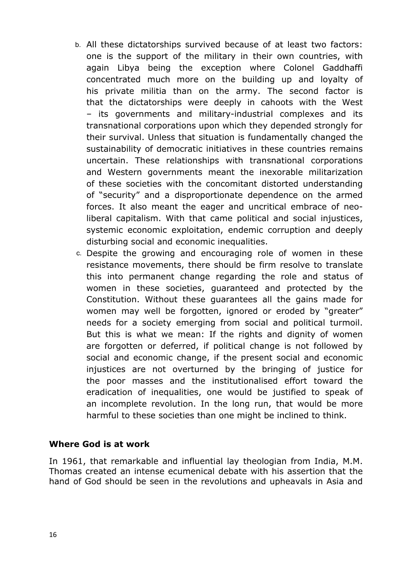- b. All these dictatorships survived because of at least two factors: one is the support of the military in their own countries, with again Libya being the exception where Colonel Gaddhaffi concentrated much more on the building up and loyalty of his private militia than on the army. The second factor is that the dictatorships were deeply in cahoots with the West – its governments and military-industrial complexes and its transnational corporations upon which they depended strongly for their survival. Unless that situation is fundamentally changed the sustainability of democratic initiatives in these countries remains uncertain. These relationships with transnational corporations and Western governments meant the inexorable militarization of these societies with the concomitant distorted understanding of "security" and a disproportionate dependence on the armed forces. It also meant the eager and uncritical embrace of neoliberal capitalism. With that came political and social injustices, systemic economic exploitation, endemic corruption and deeply disturbing social and economic inequalities.
- c. Despite the growing and encouraging role of women in these resistance movements, there should be firm resolve to translate this into permanent change regarding the role and status of women in these societies, guaranteed and protected by the Constitution. Without these guarantees all the gains made for women may well be forgotten, ignored or eroded by "greater" needs for a society emerging from social and political turmoil. But this is what we mean: If the rights and dignity of women are forgotten or deferred, if political change is not followed by social and economic change, if the present social and economic injustices are not overturned by the bringing of justice for the poor masses and the institutionalised effort toward the eradication of inequalities, one would be justified to speak of an incomplete revolution. In the long run, that would be more harmful to these societies than one might be inclined to think.

# **Where God is at work**

In 1961, that remarkable and influential lay theologian from India, M.M. Thomas created an intense ecumenical debate with his assertion that the hand of God should be seen in the revolutions and upheavals in Asia and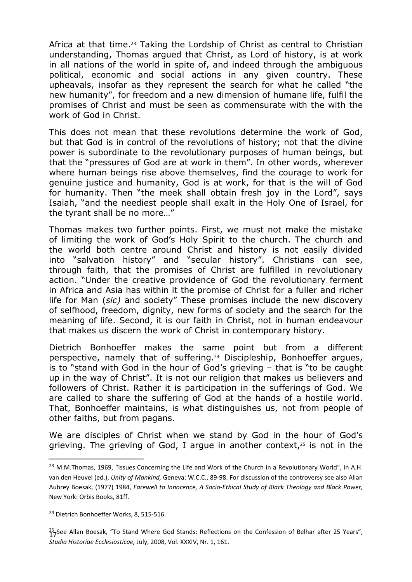Africa at that time. <sup>23</sup> Taking the Lordship of Christ as central to Christian understanding, Thomas argued that Christ, as Lord of history, is at work in all nations of the world in spite of, and indeed through the ambiguous political, economic and social actions in any given country. These upheavals, insofar as they represent the search for what he called "the new humanity", for freedom and a new dimension of humane life, fulfil the promises of Christ and must be seen as commensurate with the with the work of God in Christ.

This does not mean that these revolutions determine the work of God, but that God is in control of the revolutions of history; not that the divine power is subordinate to the revolutionary purposes of human beings, but that the "pressures of God are at work in them". In other words, wherever where human beings rise above themselves, find the courage to work for genuine justice and humanity, God is at work, for that is the will of God for humanity. Then "the meek shall obtain fresh joy in the Lord", says Isaiah, "and the neediest people shall exalt in the Holy One of Israel, for the tyrant shall be no more…"

Thomas makes two further points. First, we must not make the mistake of limiting the work of God's Holy Spirit to the church. The church and the world both centre around Christ and history is not easily divided into "salvation history" and "secular history". Christians can see, through faith, that the promises of Christ are fulfilled in revolutionary action. "Under the creative providence of God the revolutionary ferment in Africa and Asia has within it the promise of Christ for a fuller and richer life for Man (*sic)* and society" These promises include the new discovery of selfhood, freedom, dignity, new forms of society and the search for the meaning of life. Second, it is our faith in Christ, not in human endeavour that makes us discern the work of Christ in contemporary history.

Dietrich Bonhoeffer makes the same point but from a different perspective, namely that of suffering. <sup>24</sup> Discipleship, Bonhoeffer argues, is to "stand with God in the hour of God's grieving – that is "to be caught up in the way of Christ". It is not our religion that makes us believers and followers of Christ. Rather it is participation in the sufferings of God. We are called to share the suffering of God at the hands of a hostile world. That, Bonhoeffer maintains, is what distinguishes us, not from people of other faiths, but from pagans.

We are disciples of Christ when we stand by God in the hour of God's grieving. The grieving of God, I argue in another context, 25 is not in the

<sup>&</sup>lt;sup>23</sup> M.M.Thomas, 1969, "Issues Concerning the Life and Work of the Church in a Revolutionary World", in A.H. van den Heuvel (ed.), *Unity of Mankind,* Geneva: W.C.C., 89-98. For discussion of the controversy see also Allan Aubrey Boesak, (1977) 1984, *Farewell to Innocence, A Socio-Ethical Study of Black Theology and Black Power,* New York: Orbis Books, 81ff.

<sup>&</sup>lt;sup>24</sup> Dietrich Bonhoeffer Works, 8, 515-516.

<sup>&</sup>lt;sup>25</sup> See Allan Boesak, "To Stand Where God Stands: Reflections on the Confession of Belhar after 25 Years", *Studia Historiae Ecclesiasticae,* July, 2008, Vol. XXXIV, Nr. 1, 161.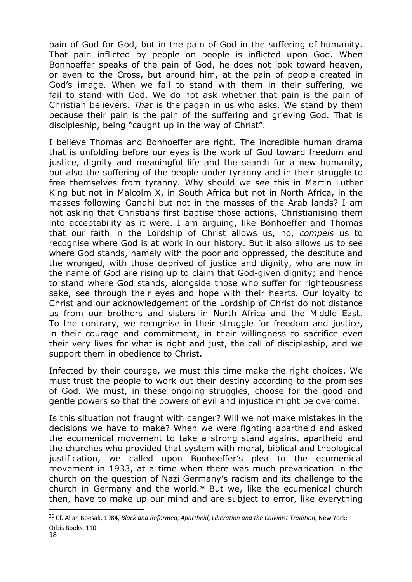pain of God for God, but in the pain of God in the suffering of humanity. That pain inflicted by people on people is inflicted upon God. When Bonhoeffer speaks of the pain of God, he does not look toward heaven, or even to the Cross, but around him, at the pain of people created in God's image. When we fail to stand with them in their suffering, we fail to stand with God. We do not ask whether that pain is the pain of Christian believers. *That* is the pagan in us who asks. We stand by them because their pain is the pain of the suffering and grieving God. That is discipleship, being "caught up in the way of Christ".

I believe Thomas and Bonhoeffer are right. The incredible human drama that is unfolding before our eyes is the work of God toward freedom and justice, dignity and meaningful life and the search for a new humanity, but also the suffering of the people under tyranny and in their struggle to free themselves from tyranny. Why should we see this in Martin Luther King but not in Malcolm X, in South Africa but not in North Africa, in the masses following Gandhi but not in the masses of the Arab lands? I am not asking that Christians first baptise those actions, Christianising them into acceptability as it were. I am arguing, like Bonhoeffer and Thomas that our faith in the Lordship of Christ allows us, no, *compels* us to recognise where God is at work in our history. But it also allows us to see where God stands, namely with the poor and oppressed, the destitute and the wronged, with those deprived of justice and dignity, who are now in the name of God are rising up to claim that God-given dignity; and hence to stand where God stands, alongside those who suffer for righteousness sake, see through their eyes and hope with their hearts. Our loyalty to Christ and our acknowledgement of the Lordship of Christ do not distance us from our brothers and sisters in North Africa and the Middle East. To the contrary, we recognise in their struggle for freedom and justice. in their courage and commitment, in their willingness to sacrifice even their very lives for what is right and just, the call of discipleship, and we support them in obedience to Christ.

Infected by their courage, we must this time make the right choices. We must trust the people to work out their destiny according to the promises of God. We must, in these ongoing struggles, choose for the good and gentle powers so that the powers of evil and injustice might be overcome.

Is this situation not fraught with danger? Will we not make mistakes in the decisions we have to make? When we were fighting apartheid and asked the ecumenical movement to take a strong stand against apartheid and the churches who provided that system with moral, biblical and theological justification, we called upon Bonhoeffer's plea to the ecumenical movement in 1933, at a time when there was much prevarication in the church on the question of Nazi Germany's racism and its challenge to the church in Germany and the world. <sup>26</sup> But we, like the ecumenical church then, have to make up our mind and are subject to error, like everything

<sup>26</sup> Cf. Allan Boesak, 1984, *Black and Reformed, Apartheid, Liberation and the Calvinist Tradition,* New York: Orbis Books, 110.